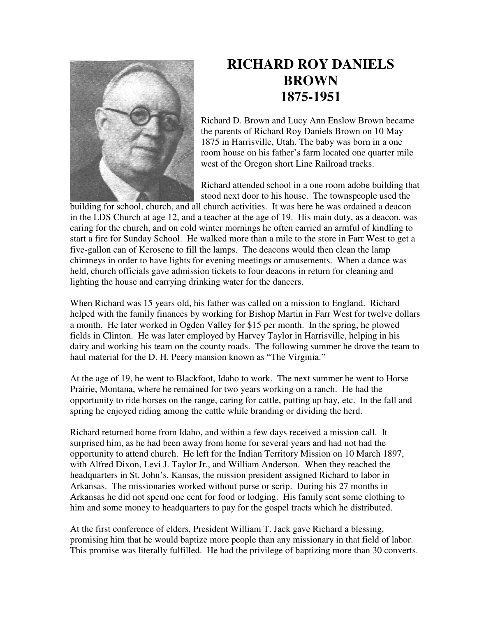

## **RICHARD ROY DANIELS BROWN 1875-1951**

Richard D. Brown and Lucy Ann Enslow Brown became the parents of Richard Roy Daniels Brown on 10 May 1875 in Harrisville, Utah. The baby was born in a one room house on his father's farm located one quarter mile west of the Oregon short Line Railroad tracks.

Richard attended school in a one room adobe building that stood next door to his house. The townspeople used the

building for school, church, and all church activities. It was here he was ordained a deacon in the LDS Church at age 12, and a teacher at the age of 19. His main duty, as a deacon, was caring for the church, and on cold winter mornings he often carried an armful of kindling to start a fire for Sunday School. He walked more than a mile to the store in Farr West to get a five-gallon can of Kerosene to fill the lamps. The deacons would then clean the lamp chimneys in order to have lights for evening meetings or amusements. When a dance was held, church officials gave admission tickets to four deacons in return for cleaning and lighting the house and carrying drinking water for the dancers.

When Richard was 15 years old, his father was called on a mission to England. Richard helped with the family finances by working for Bishop Martin in Farr West for twelve dollars a month. He later worked in Ogden Valley for \$15 per month. In the spring, he plowed fields in Clinton. He was later employed by Harvey Taylor in Harrisville, helping in his dairy and working his team on the county roads. The following summer he drove the team to haul material for the D. H. Peery mansion known as "The Virginia."

At the age of 19, he went to Blackfoot, Idaho to work. The next summer he went to Horse Prairie, Montana, where he remained for two years working on a ranch. He had the opportunity to ride horses on the range, caring for cattle, putting up hay, etc. In the fall and spring he enjoyed riding among the cattle while branding or dividing the herd.

Richard returned home from Idaho, and within a few days received a mission call. It surprised him, as he had been away from home for several years and had not had the opportunity to attend church. He left for the Indian Territory Mission on 10 March 1897, with Alfred Dixon, Levi J. Taylor Jr., and William Anderson. When they reached the headquarters in St. John's, Kansas, the mission president assigned Richard to labor in Arkansas. The missionaries worked without purse or scrip. During his 27 months in Arkansas he did not spend one cent for food or lodging. His family sent some clothing to him and some money to headquarters to pay for the gospel tracts which he distributed.

At the first conference of elders, President William T. Jack gave Richard a blessing, promising him that he would baptize more people than any missionary in that field of labor. This promise was literally fulfilled. He had the privilege of baptizing more than 30 converts.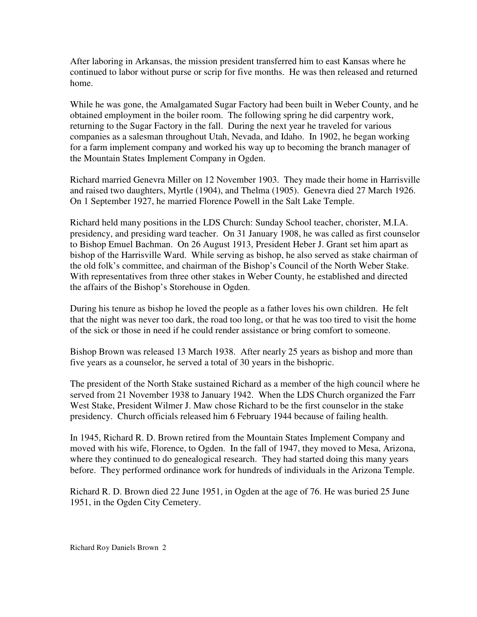After laboring in Arkansas, the mission president transferred him to east Kansas where he continued to labor without purse or scrip for five months. He was then released and returned home.

While he was gone, the Amalgamated Sugar Factory had been built in Weber County, and he obtained employment in the boiler room. The following spring he did carpentry work, returning to the Sugar Factory in the fall. During the next year he traveled for various companies as a salesman throughout Utah, Nevada, and Idaho. In 1902, he began working for a farm implement company and worked his way up to becoming the branch manager of the Mountain States Implement Company in Ogden.

Richard married Genevra Miller on 12 November 1903. They made their home in Harrisville and raised two daughters, Myrtle (1904), and Thelma (1905). Genevra died 27 March 1926. On 1 September 1927, he married Florence Powell in the Salt Lake Temple.

Richard held many positions in the LDS Church: Sunday School teacher, chorister, M.I.A. presidency, and presiding ward teacher. On 31 January 1908, he was called as first counselor to Bishop Emuel Bachman. On 26 August 1913, President Heber J. Grant set him apart as bishop of the Harrisville Ward. While serving as bishop, he also served as stake chairman of the old folk's committee, and chairman of the Bishop's Council of the North Weber Stake. With representatives from three other stakes in Weber County, he established and directed the affairs of the Bishop's Storehouse in Ogden.

During his tenure as bishop he loved the people as a father loves his own children. He felt that the night was never too dark, the road too long, or that he was too tired to visit the home of the sick or those in need if he could render assistance or bring comfort to someone.

Bishop Brown was released 13 March 1938. After nearly 25 years as bishop and more than five years as a counselor, he served a total of 30 years in the bishopric.

The president of the North Stake sustained Richard as a member of the high council where he served from 21 November 1938 to January 1942. When the LDS Church organized the Farr West Stake, President Wilmer J. Maw chose Richard to be the first counselor in the stake presidency. Church officials released him 6 February 1944 because of failing health.

In 1945, Richard R. D. Brown retired from the Mountain States Implement Company and moved with his wife, Florence, to Ogden. In the fall of 1947, they moved to Mesa, Arizona, where they continued to do genealogical research. They had started doing this many years before. They performed ordinance work for hundreds of individuals in the Arizona Temple.

Richard R. D. Brown died 22 June 1951, in Ogden at the age of 76. He was buried 25 June 1951, in the Ogden City Cemetery.